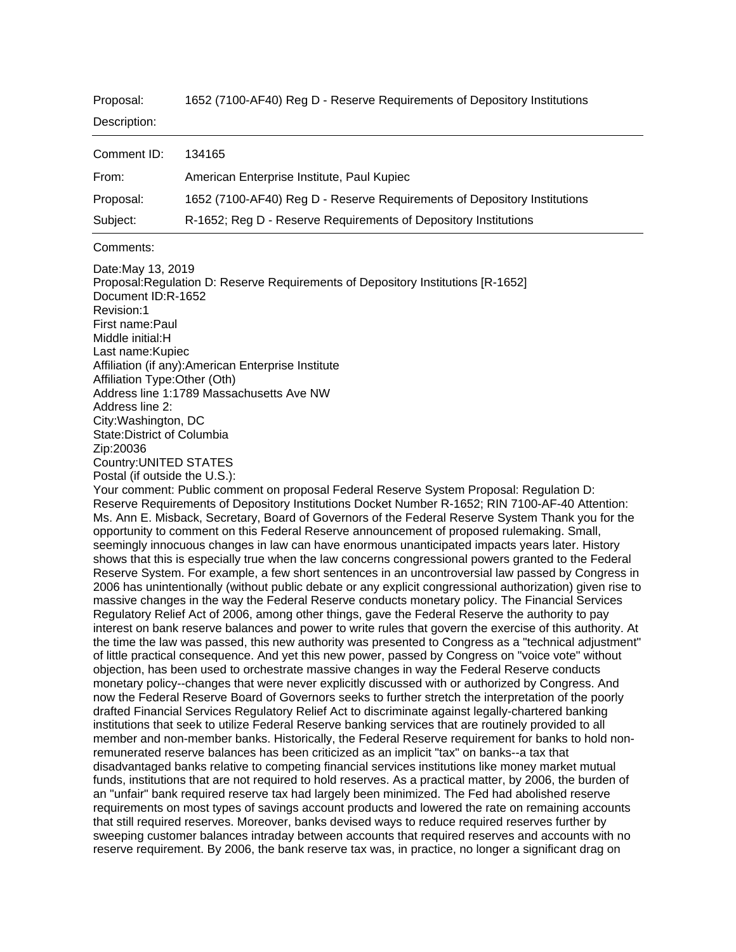| Proposal: | 1652 (7100-AF40) Reg D - Reserve Requirements of Depository Institutions |
|-----------|--------------------------------------------------------------------------|
|-----------|--------------------------------------------------------------------------|

| Description: |                                                                          |
|--------------|--------------------------------------------------------------------------|
| Comment ID:  | 134165                                                                   |
| From:        | American Enterprise Institute, Paul Kupiec                               |
| Proposal:    | 1652 (7100-AF40) Reg D - Reserve Requirements of Depository Institutions |
| Subject:     | R-1652; Reg D - Reserve Requirements of Depository Institutions          |

## Comments:

Date:May 13, 2019 Proposal:Regulation D: Reserve Requirements of Depository Institutions [R-1652] Document ID:R-1652 Revision:1 First name:Paul Middle initial:H Last name:Kupiec Affiliation (if any):American Enterprise Institute Affiliation Type:Other (Oth) Address line 1:1789 Massachusetts Ave NW Address line 2: City:Washington, DC State:District of Columbia Zip:20036 Country:UNITED STATES Postal (if outside the U.S.):

Your comment: Public comment on proposal Federal Reserve System Proposal: Regulation D: Reserve Requirements of Depository Institutions Docket Number R-1652; RIN 7100-AF-40 Attention: Ms. Ann E. Misback, Secretary, Board of Governors of the Federal Reserve System Thank you for the opportunity to comment on this Federal Reserve announcement of proposed rulemaking. Small, seemingly innocuous changes in law can have enormous unanticipated impacts years later. History shows that this is especially true when the law concerns congressional powers granted to the Federal Reserve System. For example, a few short sentences in an uncontroversial law passed by Congress in 2006 has unintentionally (without public debate or any explicit congressional authorization) given rise to massive changes in the way the Federal Reserve conducts monetary policy. The Financial Services Regulatory Relief Act of 2006, among other things, gave the Federal Reserve the authority to pay interest on bank reserve balances and power to write rules that govern the exercise of this authority. At the time the law was passed, this new authority was presented to Congress as a "technical adjustment" of little practical consequence. And yet this new power, passed by Congress on "voice vote" without objection, has been used to orchestrate massive changes in way the Federal Reserve conducts monetary policy--changes that were never explicitly discussed with or authorized by Congress. And now the Federal Reserve Board of Governors seeks to further stretch the interpretation of the poorly drafted Financial Services Regulatory Relief Act to discriminate against legally-chartered banking institutions that seek to utilize Federal Reserve banking services that are routinely provided to all member and non-member banks. Historically, the Federal Reserve requirement for banks to hold nonremunerated reserve balances has been criticized as an implicit "tax" on banks--a tax that disadvantaged banks relative to competing financial services institutions like money market mutual funds, institutions that are not required to hold reserves. As a practical matter, by 2006, the burden of an "unfair" bank required reserve tax had largely been minimized. The Fed had abolished reserve requirements on most types of savings account products and lowered the rate on remaining accounts that still required reserves. Moreover, banks devised ways to reduce required reserves further by sweeping customer balances intraday between accounts that required reserves and accounts with no reserve requirement. By 2006, the bank reserve tax was, in practice, no longer a significant drag on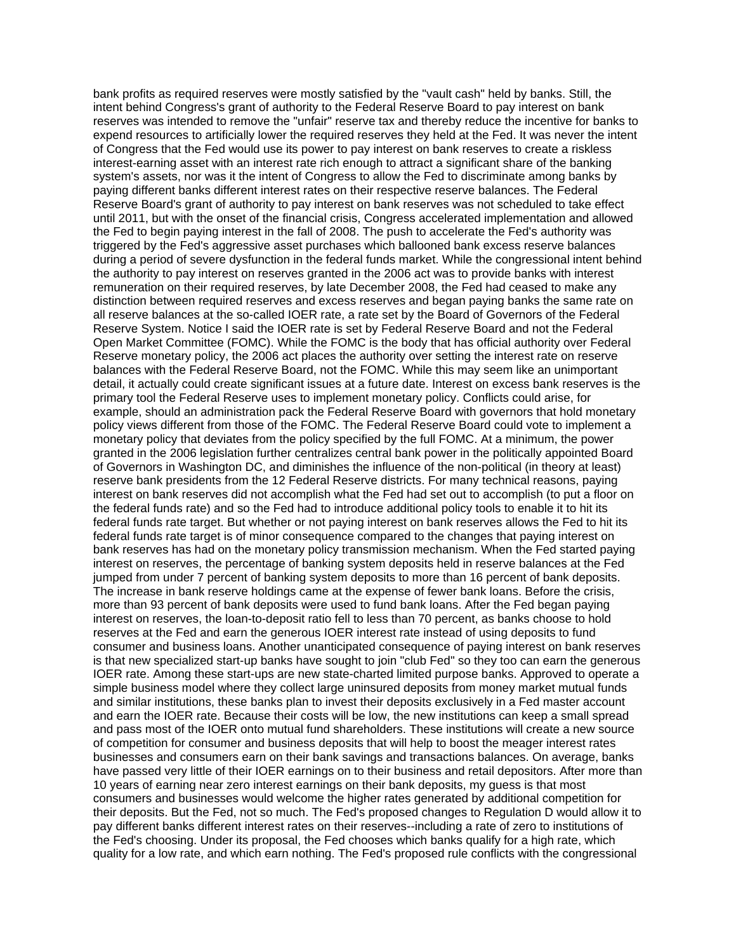bank profits as required reserves were mostly satisfied by the "vault cash" held by banks. Still, the intent behind Congress's grant of authority to the Federal Reserve Board to pay interest on bank reserves was intended to remove the "unfair" reserve tax and thereby reduce the incentive for banks to expend resources to artificially lower the required reserves they held at the Fed. It was never the intent of Congress that the Fed would use its power to pay interest on bank reserves to create a riskless interest-earning asset with an interest rate rich enough to attract a significant share of the banking system's assets, nor was it the intent of Congress to allow the Fed to discriminate among banks by paying different banks different interest rates on their respective reserve balances. The Federal Reserve Board's grant of authority to pay interest on bank reserves was not scheduled to take effect until 2011, but with the onset of the financial crisis, Congress accelerated implementation and allowed the Fed to begin paying interest in the fall of 2008. The push to accelerate the Fed's authority was triggered by the Fed's aggressive asset purchases which ballooned bank excess reserve balances during a period of severe dysfunction in the federal funds market. While the congressional intent behind the authority to pay interest on reserves granted in the 2006 act was to provide banks with interest remuneration on their required reserves, by late December 2008, the Fed had ceased to make any distinction between required reserves and excess reserves and began paying banks the same rate on all reserve balances at the so-called IOER rate, a rate set by the Board of Governors of the Federal Reserve System. Notice I said the IOER rate is set by Federal Reserve Board and not the Federal Open Market Committee (FOMC). While the FOMC is the body that has official authority over Federal Reserve monetary policy, the 2006 act places the authority over setting the interest rate on reserve balances with the Federal Reserve Board, not the FOMC. While this may seem like an unimportant detail, it actually could create significant issues at a future date. Interest on excess bank reserves is the primary tool the Federal Reserve uses to implement monetary policy. Conflicts could arise, for example, should an administration pack the Federal Reserve Board with governors that hold monetary policy views different from those of the FOMC. The Federal Reserve Board could vote to implement a monetary policy that deviates from the policy specified by the full FOMC. At a minimum, the power granted in the 2006 legislation further centralizes central bank power in the politically appointed Board of Governors in Washington DC, and diminishes the influence of the non-political (in theory at least) reserve bank presidents from the 12 Federal Reserve districts. For many technical reasons, paying interest on bank reserves did not accomplish what the Fed had set out to accomplish (to put a floor on the federal funds rate) and so the Fed had to introduce additional policy tools to enable it to hit its federal funds rate target. But whether or not paying interest on bank reserves allows the Fed to hit its federal funds rate target is of minor consequence compared to the changes that paying interest on bank reserves has had on the monetary policy transmission mechanism. When the Fed started paying interest on reserves, the percentage of banking system deposits held in reserve balances at the Fed jumped from under 7 percent of banking system deposits to more than 16 percent of bank deposits. The increase in bank reserve holdings came at the expense of fewer bank loans. Before the crisis, more than 93 percent of bank deposits were used to fund bank loans. After the Fed began paying interest on reserves, the loan-to-deposit ratio fell to less than 70 percent, as banks choose to hold reserves at the Fed and earn the generous IOER interest rate instead of using deposits to fund consumer and business loans. Another unanticipated consequence of paying interest on bank reserves is that new specialized start-up banks have sought to join "club Fed" so they too can earn the generous IOER rate. Among these start-ups are new state-charted limited purpose banks. Approved to operate a simple business model where they collect large uninsured deposits from money market mutual funds and similar institutions, these banks plan to invest their deposits exclusively in a Fed master account and earn the IOER rate. Because their costs will be low, the new institutions can keep a small spread and pass most of the IOER onto mutual fund shareholders. These institutions will create a new source of competition for consumer and business deposits that will help to boost the meager interest rates businesses and consumers earn on their bank savings and transactions balances. On average, banks have passed very little of their IOER earnings on to their business and retail depositors. After more than 10 years of earning near zero interest earnings on their bank deposits, my guess is that most consumers and businesses would welcome the higher rates generated by additional competition for their deposits. But the Fed, not so much. The Fed's proposed changes to Regulation D would allow it to pay different banks different interest rates on their reserves--including a rate of zero to institutions of the Fed's choosing. Under its proposal, the Fed chooses which banks qualify for a high rate, which quality for a low rate, and which earn nothing. The Fed's proposed rule conflicts with the congressional